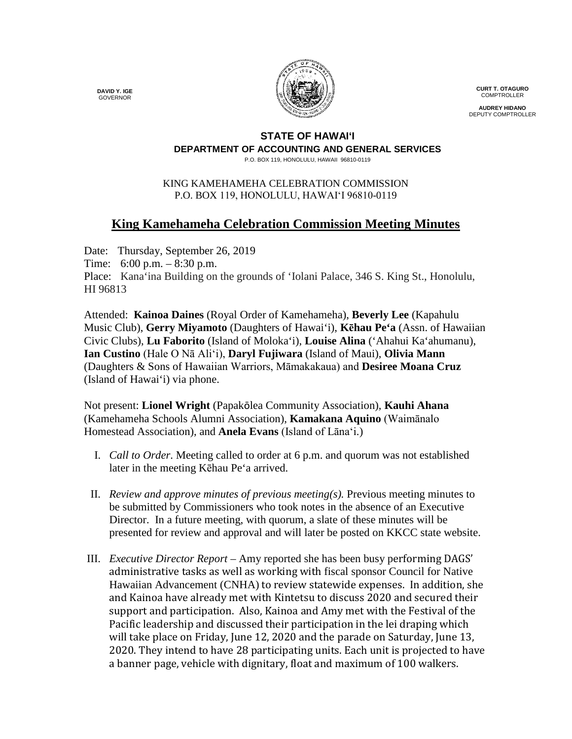**DAVID Y. IGE** GOVERNOR



**CURT T. OTAGURO** COMPTROLLER

**AUDREY HIDANO** DEPUTY COMPTROLLER

## **STATE OF HAWAI'I DEPARTMENT OF ACCOUNTING AND GENERAL SERVICES**

P.O. BOX 119, HONOLULU, HAWAII 96810-0119

## KING KAMEHAMEHA CELEBRATION COMMISSION P.O. BOX 119, HONOLULU, HAWAIʻI 96810-0119

## **King Kamehameha Celebration Commission Meeting Minutes**

Date: Thursday, September 26, 2019 Time: 6:00 p.m. – 8:30 p.m. Place: Kana'ina Building on the grounds of 'Iolani Palace, 346 S. King St., Honolulu, HI 96813

Attended: **Kainoa Daines** (Royal Order of Kamehameha), **Beverly Lee** (Kapahulu Music Club), **Gerry Miyamoto** (Daughters of Hawai'i), **Kēhau Pe'a** (Assn. of Hawaiian Civic Clubs), **Lu Faborito** (Island of Moloka'i), **Louise Alina** ('Ahahui Ka'ahumanu), **Ian Custino** (Hale O Nā Ali'i), **Daryl Fujiwara** (Island of Maui), **Olivia Mann** (Daughters & Sons of Hawaiian Warriors, Māmakakaua) and **Desiree Moana Cruz** (Island of Hawai'i) via phone.

Not present: **Lionel Wright** (Papakōlea Community Association), **Kauhi Ahana** (Kamehameha Schools Alumni Association), **Kamakana Aquino** (Waimānalo Homestead Association), and **Anela Evans** (Island of Lāna'i.)

- I. *Call to Order*. Meeting called to order at 6 p.m. and quorum was not established later in the meeting Kēhau Pe'a arrived.
- II. *Review and approve minutes of previous meeting(s).* Previous meeting minutes to be submitted by Commissioners who took notes in the absence of an Executive Director. In a future meeting, with quorum, a slate of these minutes will be presented for review and approval and will later be posted on KKCC state website.
- III. *Executive Director Report*  Amy reported she has been busy performing DAGS' administrative tasks as well as working with fiscal sponsor Council for Native Hawaiian Advancement (CNHA) to review statewide expenses. In addition, she and Kainoa have already met with Kintetsu to discuss 2020 and secured their support and participation. Also, Kainoa and Amy met with the Festival of the Pacific leadership and discussed their participation in the lei draping which will take place on Friday, June 12, 2020 and the parade on Saturday, June 13, 2020. They intend to have 28 participating units. Each unit is projected to have a banner page, vehicle with dignitary, float and maximum of 100 walkers.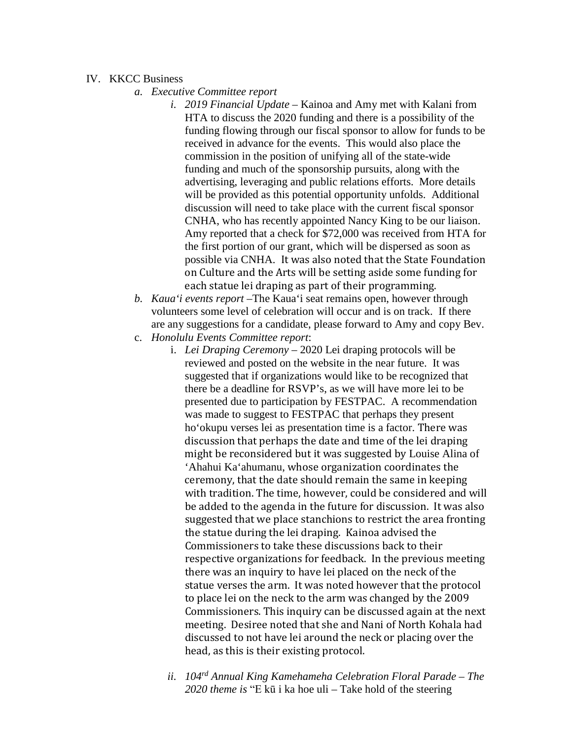## IV. KKCC Business

- *a. Executive Committee report*
	- *i. 2019 Financial Update* Kainoa and Amy met with Kalani from HTA to discuss the 2020 funding and there is a possibility of the funding flowing through our fiscal sponsor to allow for funds to be received in advance for the events. This would also place the commission in the position of unifying all of the state-wide funding and much of the sponsorship pursuits, along with the advertising, leveraging and public relations efforts. More details will be provided as this potential opportunity unfolds. Additional discussion will need to take place with the current fiscal sponsor CNHA, who has recently appointed Nancy King to be our liaison. Amy reported that a check for \$72,000 was received from HTA for the first portion of our grant, which will be dispersed as soon as possible via CNHA. It was also noted that the State Foundation on Culture and the Arts will be setting aside some funding for each statue lei draping as part of their programming.
- *b. Kaua'i events report –*The Kaua'i seat remains open, however through volunteers some level of celebration will occur and is on track. If there are any suggestions for a candidate, please forward to Amy and copy Bev.
- c. *Honolulu Events Committee report*:
	- i. *Lei Draping Ceremony* 2020 Lei draping protocols will be reviewed and posted on the website in the near future. It was suggested that if organizations would like to be recognized that there be a deadline for RSVP's, as we will have more lei to be presented due to participation by FESTPAC. A recommendation was made to suggest to FESTPAC that perhaps they present ho'okupu verses lei as presentation time is a factor. There was discussion that perhaps the date and time of the lei draping might be reconsidered but it was suggested by Louise Alina of 'Ahahui Ka'ahumanu, whose organization coordinates the ceremony, that the date should remain the same in keeping with tradition. The time, however, could be considered and will be added to the agenda in the future for discussion. It was also suggested that we place stanchions to restrict the area fronting the statue during the lei draping. Kainoa advised the Commissioners to take these discussions back to their respective organizations for feedback. In the previous meeting there was an inquiry to have lei placed on the neck of the statue verses the arm. It was noted however that the protocol to place lei on the neck to the arm was changed by the 2009 Commissioners. This inquiry can be discussed again at the next meeting. Desiree noted that she and Nani of North Kohala had discussed to not have lei around the neck or placing over the head, as this is their existing protocol.
	- *ii. 104rd Annual King Kamehameha Celebration Floral Parade – The 2020 theme is* "E kū i ka hoe uli – Take hold of the steering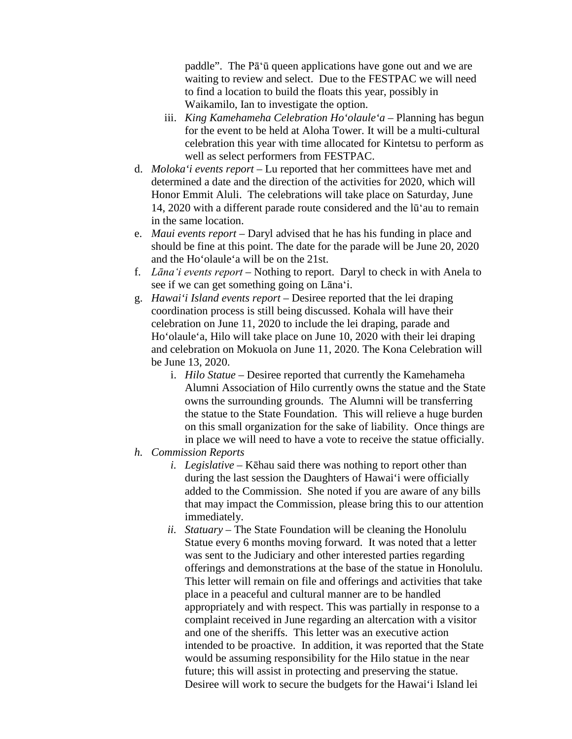paddle". The Pā'ū queen applications have gone out and we are waiting to review and select. Due to the FESTPAC we will need to find a location to build the floats this year, possibly in Waikamilo, Ian to investigate the option.

- iii. *King Kamehameha Celebration Ho'olaule'a* Planning has begun for the event to be held at Aloha Tower. It will be a multi-cultural celebration this year with time allocated for Kintetsu to perform as well as select performers from FESTPAC.
- d. *Moloka'i events report* Lu reported that her committees have met and determined a date and the direction of the activities for 2020, which will Honor Emmit Aluli. The celebrations will take place on Saturday, June 14, 2020 with a different parade route considered and the lū'au to remain in the same location.
- e. *Maui events report* Daryl advised that he has his funding in place and should be fine at this point. The date for the parade will be June 20, 2020 and the Ho'olaule'a will be on the 21st.
- f. *Lāna'i events report* Nothing to report. Daryl to check in with Anela to see if we can get something going on Lāna'i.
- g. *Hawai'i Island events report* Desiree reported that the lei draping coordination process is still being discussed. Kohala will have their celebration on June 11, 2020 to include the lei draping, parade and Ho'olaule'a, Hilo will take place on June 10, 2020 with their lei draping and celebration on Mokuola on June 11, 2020. The Kona Celebration will be June 13, 2020.
	- i. *Hilo Statue* Desiree reported that currently the Kamehameha Alumni Association of Hilo currently owns the statue and the State owns the surrounding grounds. The Alumni will be transferring the statue to the State Foundation. This will relieve a huge burden on this small organization for the sake of liability. Once things are in place we will need to have a vote to receive the statue officially.
- *h. Commission Reports*
	- *i. Legislative* Kēhau said there was nothing to report other than during the last session the Daughters of Hawai'i were officially added to the Commission. She noted if you are aware of any bills that may impact the Commission, please bring this to our attention immediately.
	- *ii. Statuary –* The State Foundation will be cleaning the Honolulu Statue every 6 months moving forward. It was noted that a letter was sent to the Judiciary and other interested parties regarding offerings and demonstrations at the base of the statue in Honolulu. This letter will remain on file and offerings and activities that take place in a peaceful and cultural manner are to be handled appropriately and with respect. This was partially in response to a complaint received in June regarding an altercation with a visitor and one of the sheriffs. This letter was an executive action intended to be proactive. In addition, it was reported that the State would be assuming responsibility for the Hilo statue in the near future; this will assist in protecting and preserving the statue. Desiree will work to secure the budgets for the Hawai'i Island lei